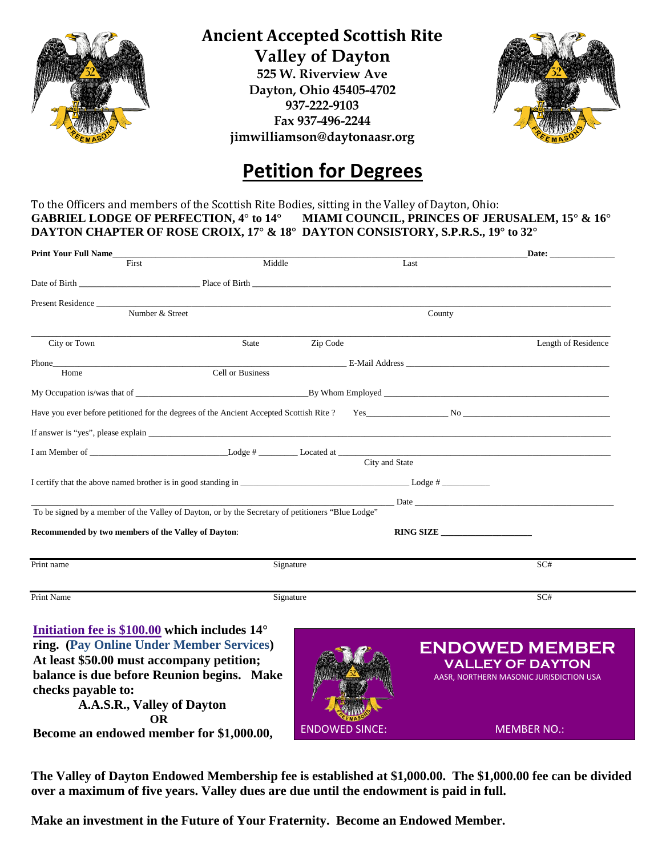

## **Ancient Accepted Scottish Rite Valley of Dayton**

**525 W. Riverview Ave Dayton, Ohio 45405-4702 937-222-9103 Fax 937-496-2244 jimwilliamson@daytonaasr.org**



# **Petition for Degrees**

#### To the Officers and members of the Scottish Rite Bodies, sitting in the Valley of Dayton, Ohio: **GABRIEL LODGE OF PERFECTION, 4° to 14° MIAMI COUNCIL, PRINCES OF JERUSALEM, 15° & 16° DAYTON CHAPTER OF ROSE CROIX, 17° & 18° DAYTON CONSISTORY, S.P.R.S., 19° to 32°**

| <b>Print Your Full Name</b>                                                                       |                  |                       |           | Date:                                                                                                                                                                                                                          |
|---------------------------------------------------------------------------------------------------|------------------|-----------------------|-----------|--------------------------------------------------------------------------------------------------------------------------------------------------------------------------------------------------------------------------------|
| First                                                                                             | Middle           |                       | Last      |                                                                                                                                                                                                                                |
| Date of Birth Place of Birth Place of Birth                                                       |                  |                       |           |                                                                                                                                                                                                                                |
|                                                                                                   |                  |                       |           |                                                                                                                                                                                                                                |
| Number & Street                                                                                   |                  |                       | County    |                                                                                                                                                                                                                                |
| City or Town                                                                                      | <b>State</b>     | Zip Code              |           | Length of Residence                                                                                                                                                                                                            |
| <b>Phone</b><br>Home                                                                              | Cell or Business |                       |           |                                                                                                                                                                                                                                |
|                                                                                                   |                  |                       |           |                                                                                                                                                                                                                                |
|                                                                                                   |                  |                       |           |                                                                                                                                                                                                                                |
|                                                                                                   |                  |                       |           |                                                                                                                                                                                                                                |
|                                                                                                   |                  |                       |           |                                                                                                                                                                                                                                |
|                                                                                                   |                  | City and State        |           |                                                                                                                                                                                                                                |
|                                                                                                   |                  |                       |           |                                                                                                                                                                                                                                |
|                                                                                                   |                  |                       |           | Date Date by the same state of the same state of the same state of the same state of the same state of the same state of the same state of the same state of the same state of the same state of the same state of the same st |
| To be signed by a member of the Valley of Dayton, or by the Secretary of petitioners "Blue Lodge" |                  |                       |           |                                                                                                                                                                                                                                |
| Recommended by two members of the Valley of Dayton:                                               |                  |                       | RING SIZE |                                                                                                                                                                                                                                |
| Print name                                                                                        | Signature        |                       |           | SC#                                                                                                                                                                                                                            |
|                                                                                                   |                  |                       |           |                                                                                                                                                                                                                                |
| Print Name                                                                                        | Signature        |                       |           | SC#                                                                                                                                                                                                                            |
| Initiation fee is $$100.00$ which includes $14^{\circ}$                                           |                  |                       |           |                                                                                                                                                                                                                                |
| ring. (Pay Online Under Member Services)                                                          |                  |                       |           | <b>ENDOWED MEMBER</b>                                                                                                                                                                                                          |
| At least \$50.00 must accompany petition;                                                         |                  |                       |           | <b>VALLEY OF DAYTON</b>                                                                                                                                                                                                        |
| balance is due before Reunion begins. Make                                                        |                  |                       |           | AASR, NORTHERN MASONIC JURISDICTION USA                                                                                                                                                                                        |
| checks payable to:                                                                                |                  |                       |           |                                                                                                                                                                                                                                |
| A.A.S.R., Valley of Dayton                                                                        |                  |                       |           |                                                                                                                                                                                                                                |
| <b>OR</b>                                                                                         |                  | <b>ENDOWED SINCE:</b> |           | <b>MEMBER NO.:</b>                                                                                                                                                                                                             |
| Become an endowed member for \$1,000.00,                                                          |                  |                       |           |                                                                                                                                                                                                                                |

**The Valley of Dayton Endowed Membership fee is established at \$1,000.00. The \$1,000.00 fee can be divided over a maximum of five years. Valley dues are due until the endowment is paid in full.**

**Make an investment in the Future of Your Fraternity. Become an Endowed Member.**